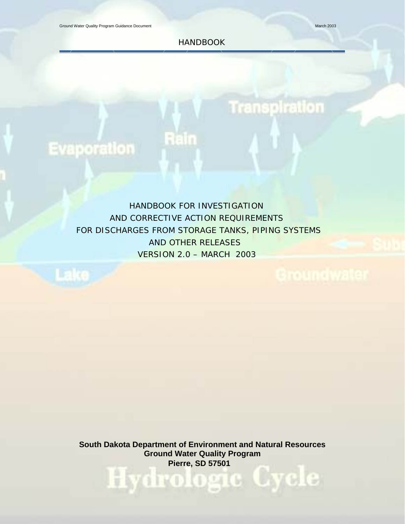**Transpiration** 

HANDBOOK

# Evaporation

Lake

 HANDBOOK FOR INVESTIGATION AND CORRECTIVE ACTION REQUIREMENTS FOR DISCHARGES FROM STORAGE TANKS, PIPING SYSTEMS AND OTHER RELEASES VERSION 2.0 – MARCH 2003

fleilm

**South Dakota Department of Environment and Natural Resources Ground Water Quality Program Pierre, SD 57501**<br> **Pierre, SD 57501**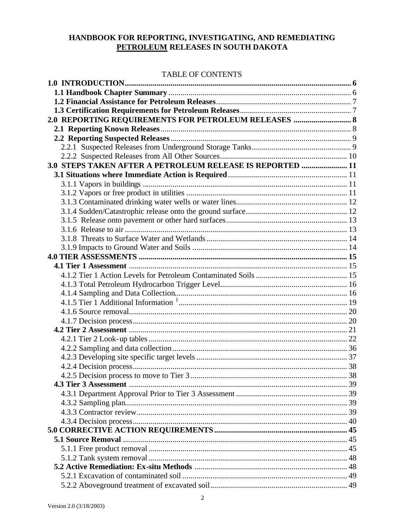### HANDBOOK FOR REPORTING, INVESTIGATING, AND REMEDIATING PETROLEUM RELEASES IN SOUTH DAKOTA

#### TABLE OF CONTENTS

| 2.0 REPORTING REQUIREMENTS FOR PETROLEUM RELEASES  8      |  |
|-----------------------------------------------------------|--|
|                                                           |  |
|                                                           |  |
|                                                           |  |
|                                                           |  |
| 3.0 STEPS TAKEN AFTER A PETROLEUM RELEASE IS REPORTED  11 |  |
|                                                           |  |
|                                                           |  |
|                                                           |  |
|                                                           |  |
|                                                           |  |
|                                                           |  |
|                                                           |  |
|                                                           |  |
|                                                           |  |
|                                                           |  |
|                                                           |  |
|                                                           |  |
|                                                           |  |
|                                                           |  |
|                                                           |  |
|                                                           |  |
|                                                           |  |
|                                                           |  |
|                                                           |  |
|                                                           |  |
|                                                           |  |
|                                                           |  |
|                                                           |  |
|                                                           |  |
|                                                           |  |
|                                                           |  |
|                                                           |  |
|                                                           |  |
|                                                           |  |
|                                                           |  |
|                                                           |  |
|                                                           |  |
|                                                           |  |
|                                                           |  |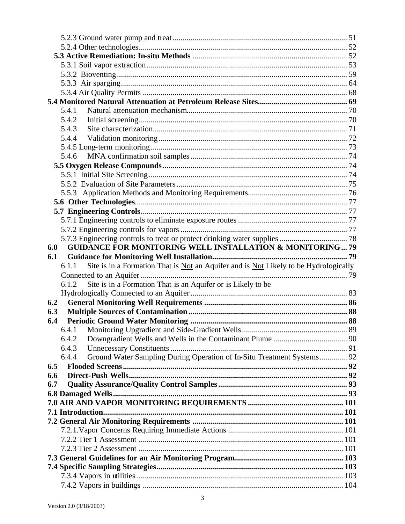|     | 5.4.1                                                                                         |  |
|-----|-----------------------------------------------------------------------------------------------|--|
|     | 5.4.2                                                                                         |  |
|     | 5.4.3                                                                                         |  |
|     | 5.4.4                                                                                         |  |
|     |                                                                                               |  |
|     | 5.4.6                                                                                         |  |
|     |                                                                                               |  |
|     |                                                                                               |  |
|     |                                                                                               |  |
|     |                                                                                               |  |
|     |                                                                                               |  |
|     |                                                                                               |  |
|     |                                                                                               |  |
|     |                                                                                               |  |
|     |                                                                                               |  |
| 6.0 | <b>GUIDANCE FOR MONITORING WELL INSTALLATION &amp; MONITORING79</b>                           |  |
| 6.1 |                                                                                               |  |
|     |                                                                                               |  |
|     | Site is in a Formation That is Not an Aquifer and is Not Likely to be Hydrologically<br>6.1.1 |  |
|     |                                                                                               |  |
|     | Site is in a Formation That is an Aquifer or is Likely to be<br>6.1.2                         |  |
|     |                                                                                               |  |
| 6.2 |                                                                                               |  |
| 6.3 |                                                                                               |  |
| 6.4 |                                                                                               |  |
|     |                                                                                               |  |
|     | 6.4.2                                                                                         |  |
|     | 6.4.3                                                                                         |  |
|     | Ground Water Sampling During Operation of In-Situ Treatment Systems 92<br>6.4.4               |  |
| 6.5 |                                                                                               |  |
| 6.6 |                                                                                               |  |
| 6.7 |                                                                                               |  |
|     |                                                                                               |  |
|     |                                                                                               |  |
|     |                                                                                               |  |
|     |                                                                                               |  |
|     |                                                                                               |  |
|     |                                                                                               |  |
|     |                                                                                               |  |
|     |                                                                                               |  |
|     |                                                                                               |  |
|     |                                                                                               |  |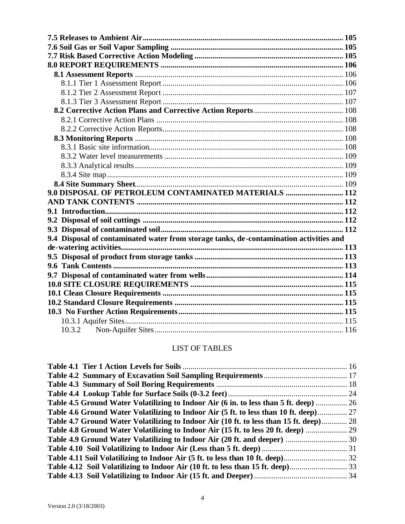| 9.0 DISPOSAL OF PETROLEUM CONTAMINATED MATERIALS  112                                  |  |
|----------------------------------------------------------------------------------------|--|
|                                                                                        |  |
|                                                                                        |  |
|                                                                                        |  |
|                                                                                        |  |
| 9.4 Disposal of contaminated water from storage tanks, de-contamination activities and |  |
|                                                                                        |  |
|                                                                                        |  |
|                                                                                        |  |
|                                                                                        |  |
|                                                                                        |  |
|                                                                                        |  |
|                                                                                        |  |
|                                                                                        |  |
|                                                                                        |  |

## LIST OF TABLES

| Table 4.5 Ground Water Volatilizing to Indoor Air (6 in. to less than 5 ft. deep)  26  |
|----------------------------------------------------------------------------------------|
|                                                                                        |
|                                                                                        |
|                                                                                        |
|                                                                                        |
| Table 4.6 Ground Water Volatilizing to Indoor Air (5 ft. to less than 10 ft. deep) 27  |
| Table 4.7 Ground Water Volatilizing to Indoor Air (10 ft. to less than 15 ft. deep) 28 |
| Table 4.8 Ground Water Volatilizing to Indoor Air (15 ft. to less 20 ft. deep)  29     |
|                                                                                        |
|                                                                                        |
|                                                                                        |
|                                                                                        |
|                                                                                        |
|                                                                                        |